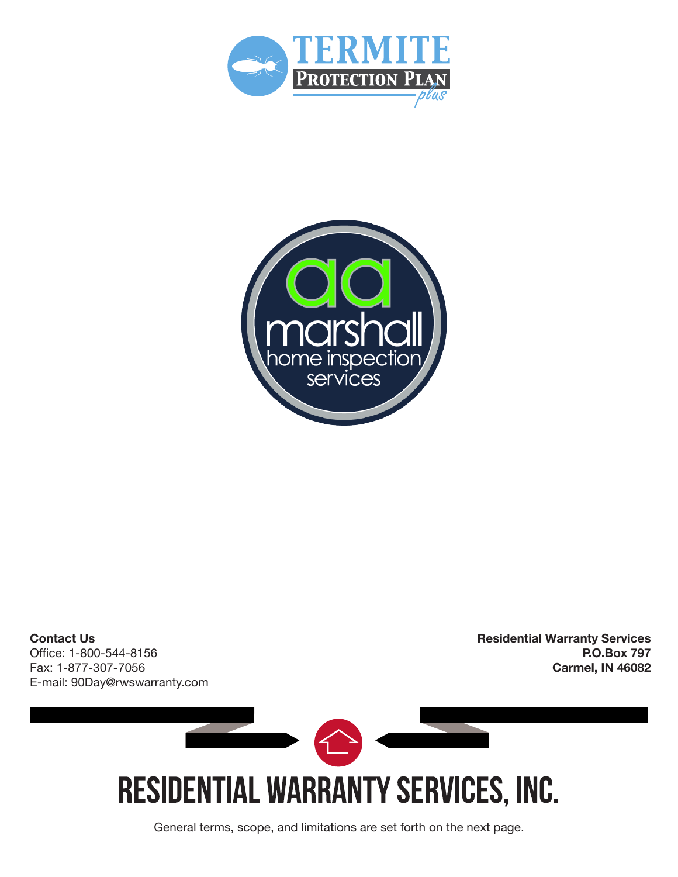



**Contact Us** Office: 1-800-544-8156 Fax: 1-877-307-7056 E-mail: 90Day@rwswarranty.com **Residential Warranty Services P.O.Box 797 Carmel, IN 46082** 



General terms, scope, and limitations are set forth on the next page.